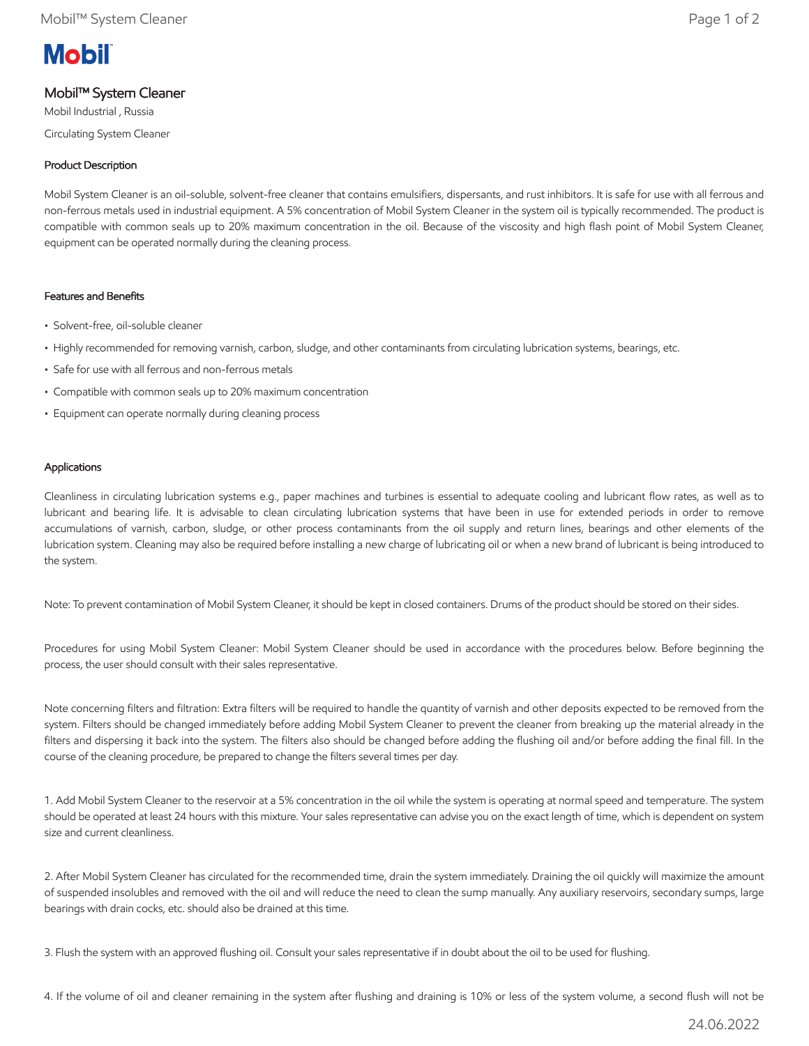# **Mobil**

## Mobil™ System Cleaner

Mobil Industrial , Russia Circulating System Cleaner

## Product Description

Mobil System Cleaner is an oil-soluble, solvent-free cleaner that contains emulsifiers, dispersants, and rust inhibitors. It is safe for use with all ferrous and non-ferrous metals used in industrial equipment. A 5% concentration of Mobil System Cleaner in the system oil is typically recommended. The product is compatible with common seals up to 20% maximum concentration in the oil. Because of the viscosity and high flash point of Mobil System Cleaner, equipment can be operated normally during the cleaning process.

## Features and Benefits

- Solvent-free, oil-soluble cleaner
- Highly recommended for removing varnish, carbon, sludge, and other contaminants from circulating lubrication systems, bearings, etc.
- Safe for use with all ferrous and non-ferrous metals
- Compatible with common seals up to 20% maximum concentration
- Equipment can operate normally during cleaning process

## Applications

Cleanliness in circulating lubrication systems e.g., paper machines and turbines is essential to adequate cooling and lubricant flow rates, as well as to lubricant and bearing life. It is advisable to clean circulating lubrication systems that have been in use for extended periods in order to remove accumulations of varnish, carbon, sludge, or other process contaminants from the oil supply and return lines, bearings and other elements of the lubrication system. Cleaning may also be required before installing a new charge of lubricating oil or when a new brand of lubricant is being introduced to the system.

Note: To prevent contamination of Mobil System Cleaner, it should be kept in closed containers. Drums of the product should be stored on their sides.

Procedures for using Mobil System Cleaner: Mobil System Cleaner should be used in accordance with the procedures below. Before beginning the process, the user should consult with their sales representative.

Note concerning filters and filtration: Extra filters will be required to handle the quantity of varnish and other deposits expected to be removed from the system. Filters should be changed immediately before adding Mobil System Cleaner to prevent the cleaner from breaking up the material already in the filters and dispersing it back into the system. The filters also should be changed before adding the flushing oil and/or before adding the final fill. In the course of the cleaning procedure, be prepared to change the filters several times per day.

1. Add Mobil System Cleaner to the reservoir at a 5% concentration in the oil while the system is operating at normal speed and temperature. The system should be operated at least 24 hours with this mixture. Your sales representative can advise you on the exact length of time, which is dependent on system size and current cleanliness.

2. After Mobil System Cleaner has circulated for the recommended time, drain the system immediately. Draining the oil quickly will maximize the amount of suspended insolubles and removed with the oil and will reduce the need to clean the sump manually. Any auxiliary reservoirs, secondary sumps, large bearings with drain cocks, etc. should also be drained at this time.

3. Flush the system with an approved flushing oil. Consult your sales representative if in doubt about the oil to be used for flushing.

4. If the volume of oil and cleaner remaining in the system after flushing and draining is 10% or less of the system volume, a second flush will not be